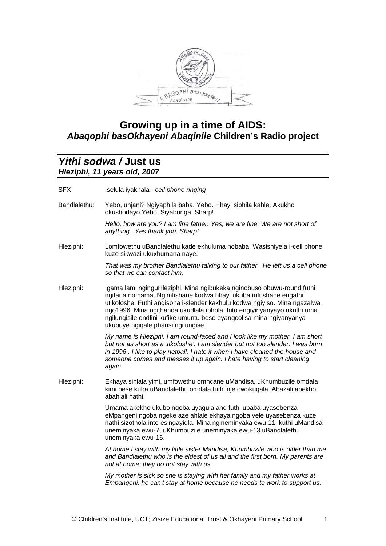

## **Growing up in a time of AIDS:**  *Abaqophi basOkhayeni Abaqinile* **Children's Radio project**

## *Yithi sodwa /* **Just us**  *Hleziphi, 11 years old, 2007*

| <b>SFX</b>   | Iselula iyakhala - cell phone ringing                                                                                                                                                                                                                                                                                                                                                                         |
|--------------|---------------------------------------------------------------------------------------------------------------------------------------------------------------------------------------------------------------------------------------------------------------------------------------------------------------------------------------------------------------------------------------------------------------|
| Bandlalethu: | Yebo, unjani? Ngiyaphila baba. Yebo. Hhayi siphila kahle. Akukho<br>okushodayo.Yebo. Siyabonga. Sharp!                                                                                                                                                                                                                                                                                                        |
|              | Hello, how are you? I am fine father. Yes, we are fine. We are not short of<br>anything. Yes thank you. Sharp!                                                                                                                                                                                                                                                                                                |
| Hleziphi:    | Lomfowethu uBandlalethu kade ekhuluma nobaba. Wasishiyela i-cell phone<br>kuze sikwazi ukuxhumana naye.                                                                                                                                                                                                                                                                                                       |
|              | That was my brother Bandlalethu talking to our father. He left us a cell phone<br>so that we can contact him.                                                                                                                                                                                                                                                                                                 |
| Hleziphi:    | Igama lami nginguHleziphi. Mina ngibukeka nginobuso obuwu-round futhi<br>ngifana nomama. Ngimfishane kodwa hhayi ukuba mfushane engathi<br>utikoloshe. Futhi angisona i-slender kakhulu kodwa ngiyiso. Mina ngazalwa<br>ngo1996. Mina ngithanda ukudlala ibhola. Into engiyinyanyayo ukuthi uma<br>ngilungisile endlini kufike umuntu bese eyangcolisa mina ngiyanyanya<br>ukubuye ngiqale phansi ngilungise. |
|              | My name is Hleziphi. I am round-faced and I look like my mother. I am short<br>but not as short as a , tikoloshe'. I am slender but not too slender. I was born<br>in 1996. I like to play netball. I hate it when I have cleaned the house and<br>someone comes and messes it up again: I hate having to start cleaning<br>again.                                                                            |
| Hleziphi:    | Ekhaya sihlala yimi, umfowethu omncane uMandisa, uKhumbuzile omdala<br>kimi bese kuba uBandlalethu omdala futhi nje owokuqala. Abazali abekho<br>abahlali nathi.                                                                                                                                                                                                                                              |
|              | Umama akekho ukubo ngoba uyagula and futhi ubaba uyasebenza<br>eMpangeni ngoba ngeke aze ahlale ekhaya ngoba vele uyasebenza kuze<br>nathi sizothola into esingayidla. Mina ngineminyaka ewu-11, kuthi uMandisa<br>uneminyaka ewu-7, uKhumbuzile uneminyaka ewu-13 uBandlalethu<br>uneminyaka ewu-16.                                                                                                         |
|              | At home I stay with my little sister Mandisa, Khumbuzile who is older than me<br>and Bandlalethu who is the eldest of us all and the first born. My parents are<br>not at home: they do not stay with us.                                                                                                                                                                                                     |
|              | My mother is sick so she is staying with her family and my father works at<br>Empangeni: he can't stay at home because he needs to work to support us                                                                                                                                                                                                                                                         |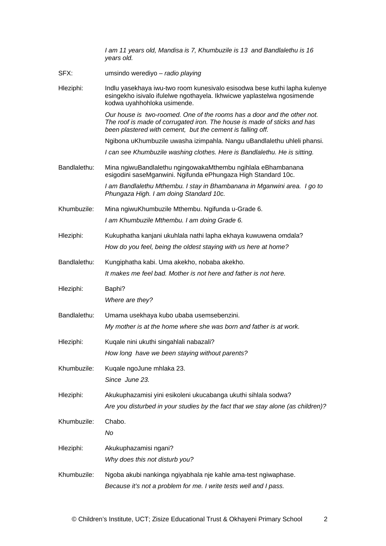*I am 11 years old, Mandisa is 7, Khumbuzile is 13 and Bandlalethu is 16 years old.* 

- SFX: umsindo werediyo *radio playing*
- Hleziphi: Indlu yasekhaya iwu-two room kunesivalo esisodwa bese kuthi lapha kulenye esingekho isivalo ifulelwe ngothayela. Ikhwicwe yaplastelwa ngosimende kodwa uyahhohloka usimende.

*Our house is two-roomed. One of the rooms has a door and the other not. The roof is made of corrugated iron. The house is made of sticks and has been plastered with cement, but the cement is falling off.* 

Ngibona uKhumbuzile uwasha izimpahla. Nangu uBandlalethu uhleli phansi.

*I can see Khumbuzile washing clothes. Here is Bandlalethu. He is sitting.* 

Bandlalethu: Mina ngiwuBandlalethu ngingowakaMthembu ngihlala eBhambanana esigodini saseMganwini. Ngifunda ePhungaza High Standard 10c.

> *I am Bandlalethu Mthembu. I stay in Bhambanana in Mganwini area. I go to Phungaza High. I am doing Standard 10c.*

Khumbuzile: Mina ngiwuKhumbuzile Mthembu. Ngifunda u-Grade 6.

*I am Khumbuzile Mthembu. I am doing Grade 6.* 

Hleziphi: Kukuphatha kanjani ukuhlala nathi lapha ekhaya kuwuwena omdala?

- *How do you feel, being the oldest staying with us here at home?*
- Bandlalethu: Kungiphatha kabi. Uma akekho, nobaba akekho.
	- *It makes me feel bad. Mother is not here and father is not here.*
- Hleziphi: Baphi? *Where are they?*
- Bandlalethu: Umama usekhaya kubo ubaba usemsebenzini.
	- *My mother is at the home where she was born and father is at work.*
- Hleziphi: Kuqale nini ukuthi singahlali nabazali? *How long have we been staying without parents?*
- Khumbuzile: Kuqale ngoJune mhlaka 23.
	- *Since June 23.*
- Hleziphi: Akukuphazamisi yini esikoleni ukucabanga ukuthi sihlala sodwa? *Are you disturbed in your studies by the fact that we stay alone (as children)?*
- Khumbuzile: Chabo. *No* 
	-
- Hleziphi: Akukuphazamisi ngani? *Why does this not disturb you?*
- Khumbuzile: Ngoba akubi nankinga ngiyabhala nje kahle ama-test ngiwaphase. *Because it's not a problem for me. I write tests well and I pass.*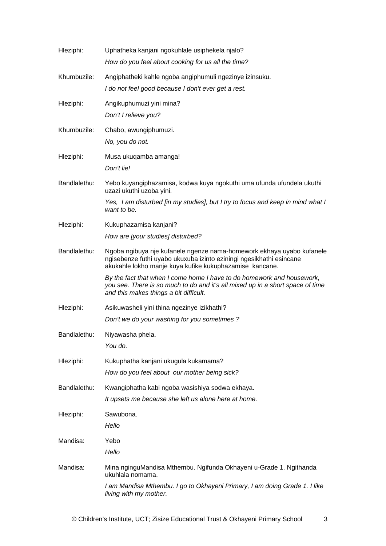| Hleziphi:    | Uphatheka kanjani ngokuhlale usiphekela njalo?<br>How do you feel about cooking for us all the time?                                                                                                    |
|--------------|---------------------------------------------------------------------------------------------------------------------------------------------------------------------------------------------------------|
| Khumbuzile:  | Angiphatheki kahle ngoba angiphumuli ngezinye izinsuku.<br>I do not feel good because I don't ever get a rest.                                                                                          |
| Hleziphi:    | Angikuphumuzi yini mina?<br>Don't I relieve you?                                                                                                                                                        |
| Khumbuzile:  | Chabo, awungiphumuzi.<br>No, you do not.                                                                                                                                                                |
| Hleziphi:    | Musa ukuqamba amanga!<br>Don't lie!                                                                                                                                                                     |
| Bandlalethu: | Yebo kuyangiphazamisa, kodwa kuya ngokuthi uma ufunda ufundela ukuthi<br>uzazi ukuthi uzoba yini.                                                                                                       |
|              | Yes, I am disturbed [in my studies], but I try to focus and keep in mind what I<br>want to be.                                                                                                          |
| Hleziphi:    | Kukuphazamisa kanjani?                                                                                                                                                                                  |
|              | How are [your studies] disturbed?                                                                                                                                                                       |
| Bandlalethu: | Ngoba ngibuya nje kufanele ngenze nama-homework ekhaya uyabo kufanele<br>ngisebenze futhi uyabo ukuxuba izinto eziningi ngesikhathi esincane<br>akukahle lokho manje kuya kufike kukuphazamise kancane. |
|              | By the fact that when I come home I have to do homework and housework,<br>you see. There is so much to do and it's all mixed up in a short space of time<br>and this makes things a bit difficult.      |
| Hleziphi:    | Asikuwasheli yini thina ngezinye izikhathi?                                                                                                                                                             |
|              | Don't we do your washing for you sometimes?                                                                                                                                                             |
| Bandlalethu: | Niyawasha phela.                                                                                                                                                                                        |
|              | You do.                                                                                                                                                                                                 |
| Hleziphi:    | Kukuphatha kanjani ukugula kukamama?                                                                                                                                                                    |
|              | How do you feel about our mother being sick?                                                                                                                                                            |
| Bandlalethu: | Kwangiphatha kabi ngoba wasishiya sodwa ekhaya.                                                                                                                                                         |
|              | It upsets me because she left us alone here at home.                                                                                                                                                    |
| Hleziphi:    | Sawubona.<br>Hello                                                                                                                                                                                      |
| Mandisa:     | Yebo                                                                                                                                                                                                    |
|              | Hello                                                                                                                                                                                                   |
| Mandisa:     | Mina nginguMandisa Mthembu. Ngifunda Okhayeni u-Grade 1. Ngithanda<br>ukuhlala nomama.                                                                                                                  |
|              | I am Mandisa Mthembu. I go to Okhayeni Primary, I am doing Grade 1. I like<br>living with my mother.                                                                                                    |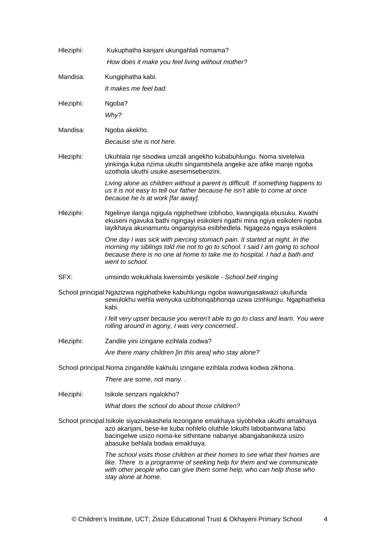| Hleziphi:                                                                        | Kukuphatha kanjani ukungahlali nomama?                                                                                                                                                                                                                                |
|----------------------------------------------------------------------------------|-----------------------------------------------------------------------------------------------------------------------------------------------------------------------------------------------------------------------------------------------------------------------|
|                                                                                  | How does it make you feel living without mother?                                                                                                                                                                                                                      |
| Mandisa:                                                                         | Kungiphatha kabi.                                                                                                                                                                                                                                                     |
|                                                                                  | It makes me feel bad.                                                                                                                                                                                                                                                 |
| Hleziphi:                                                                        | Ngoba?                                                                                                                                                                                                                                                                |
|                                                                                  | Why?                                                                                                                                                                                                                                                                  |
| Mandisa:                                                                         | Ngoba akekho.                                                                                                                                                                                                                                                         |
|                                                                                  | Because she is not here.                                                                                                                                                                                                                                              |
| Hleziphi:                                                                        | Ukuhlala nje sisodwa umzali angekho kubabuhlungu. Noma sivelelwa<br>yinkinga kuba nzima ukuthi singamtshela angeke aze afike manje ngoba<br>uzothola ukuthi usuke asesemsebenzini.                                                                                    |
|                                                                                  | Living alone as children without a parent is difficult. If something happens to<br>us it is not easy to tell our father because he isn't able to come at once<br>because he is at work [far away].                                                                    |
| Hleziphi:                                                                        | Ngelinye ilanga ngigula ngiphethwe izibhobo, kwangiqala ebusuku. Kwathi<br>ekuseni ngavuka bathi ngingayi esikoleni ngathi mina ngiya esikoleni ngoba<br>layikhaya akunamuntu ongangiyisa esibhedlela. Ngageza ngaya esikoleni                                        |
|                                                                                  | One day I was sick with piercing stomach pain. It started at night. In the<br>morning my siblings told me not to go to school. I said I am going to school<br>because there is no one at home to take me to hospital. I had a bath and<br>went to school.             |
| SFX:                                                                             | umsindo wokukhala kwensimbi yesikole - School bell ringing                                                                                                                                                                                                            |
|                                                                                  | School principal:Ngazizwa ngiphatheke kabuhlungu ngoba wawungasakwazi ukufunda<br>sewulokhu wehla wenyuka uzibhonqabhonqa uzwa izinhlungu. Ngaphatheka<br>kabi.                                                                                                       |
|                                                                                  | I felt very upset because you weren't able to go to class and learn. You were<br>rolling around in agony, I was very concerned                                                                                                                                        |
| Hleziphi:                                                                        | Zandile yini izingane ezihlala zodwa?                                                                                                                                                                                                                                 |
|                                                                                  | Are there many children [in this area] who stay alone?                                                                                                                                                                                                                |
| School principal: Noma zingandile kakhulu izingane ezihlala zodwa kodwa zikhona. |                                                                                                                                                                                                                                                                       |
|                                                                                  | There are some, not many                                                                                                                                                                                                                                              |
| Hleziphi:                                                                        | Isikole senzani ngalokho?                                                                                                                                                                                                                                             |
|                                                                                  | What does the school do about those children?                                                                                                                                                                                                                         |
|                                                                                  | School principal:Isikole siyazivakashela lezongane emakhaya siyobheka ukuthi amakhaya<br>azo akanjani, bese-ke kuba nohlelo oluthile lokuthi labobantwana labo<br>bacingelwe usizo noma-ke sithintane nabanye abangabanikeza usizo<br>abasuke behlala bodwa emakhaya. |
|                                                                                  | The school visits those children at their homes to see what their homes are<br>like. There is a programme of seeking help for them and we communicate<br>with other people who can give them some help, who can help those who<br>stay alone at home.                 |